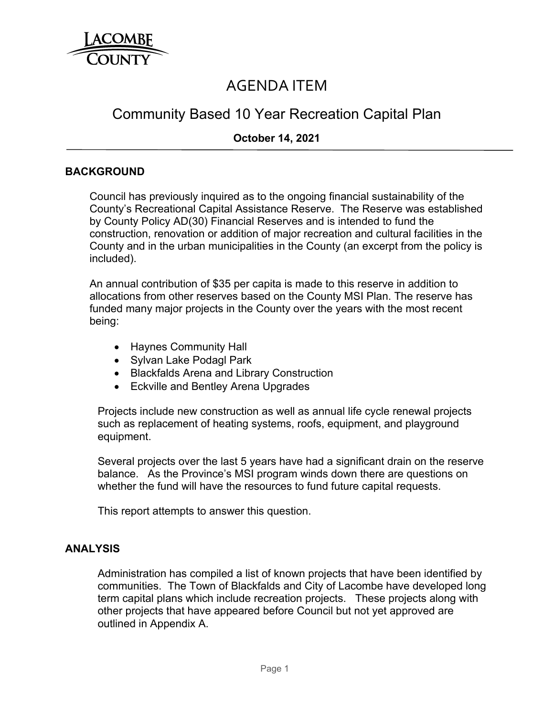

# AGENDA ITEM

## Community Based 10 Year Recreation Capital Plan

## **October 14, 2021**

#### **BACKGROUND**

Council has previously inquired as to the ongoing financial sustainability of the County's Recreational Capital Assistance Reserve. The Reserve was established by County Policy AD(30) Financial Reserves and is intended to fund the construction, renovation or addition of major recreation and cultural facilities in the County and in the urban municipalities in the County (an excerpt from the policy is included).

An annual contribution of \$35 per capita is made to this reserve in addition to allocations from other reserves based on the County MSI Plan. The reserve has funded many major projects in the County over the years with the most recent being:

- Haynes Community Hall
- Sylvan Lake Podagl Park
- Blackfalds Arena and Library Construction
- Eckville and Bentley Arena Upgrades

Projects include new construction as well as annual life cycle renewal projects such as replacement of heating systems, roofs, equipment, and playground equipment.

Several projects over the last 5 years have had a significant drain on the reserve balance. As the Province's MSI program winds down there are questions on whether the fund will have the resources to fund future capital requests.

This report attempts to answer this question.

#### **ANALYSIS**

Administration has compiled a list of known projects that have been identified by communities. The Town of Blackfalds and City of Lacombe have developed long term capital plans which include recreation projects. These projects along with other projects that have appeared before Council but not yet approved are outlined in Appendix A.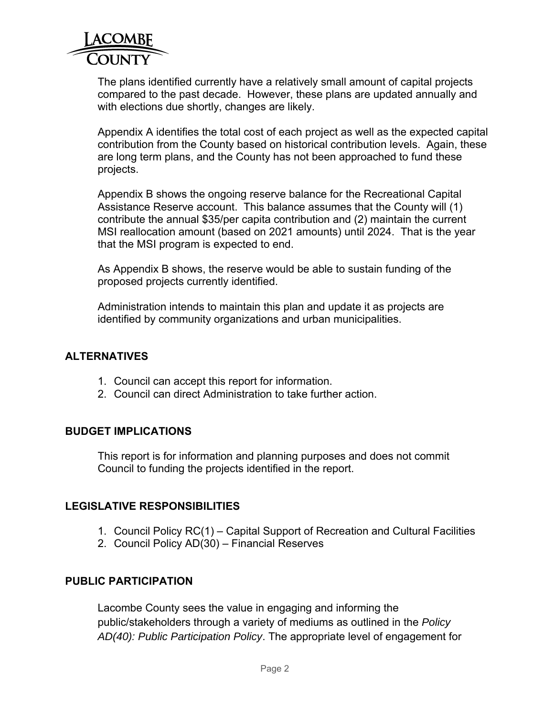

The plans identified currently have a relatively small amount of capital projects compared to the past decade. However, these plans are updated annually and with elections due shortly, changes are likely.

Appendix A identifies the total cost of each project as well as the expected capital contribution from the County based on historical contribution levels. Again, these are long term plans, and the County has not been approached to fund these projects.

Appendix B shows the ongoing reserve balance for the Recreational Capital Assistance Reserve account. This balance assumes that the County will (1) contribute the annual \$35/per capita contribution and (2) maintain the current MSI reallocation amount (based on 2021 amounts) until 2024. That is the year that the MSI program is expected to end.

As Appendix B shows, the reserve would be able to sustain funding of the proposed projects currently identified.

Administration intends to maintain this plan and update it as projects are identified by community organizations and urban municipalities.

#### **ALTERNATIVES**

- 1. Council can accept this report for information.
- 2. Council can direct Administration to take further action.

## **BUDGET IMPLICATIONS**

This report is for information and planning purposes and does not commit Council to funding the projects identified in the report.

## **LEGISLATIVE RESPONSIBILITIES**

- 1. Council Policy RC(1) Capital Support of Recreation and Cultural Facilities
- 2. Council Policy AD(30) Financial Reserves

## **PUBLIC PARTICIPATION**

Lacombe County sees the value in engaging and informing the public/stakeholders through a variety of mediums as outlined in the *Policy AD(40): Public Participation Policy*. The appropriate level of engagement for